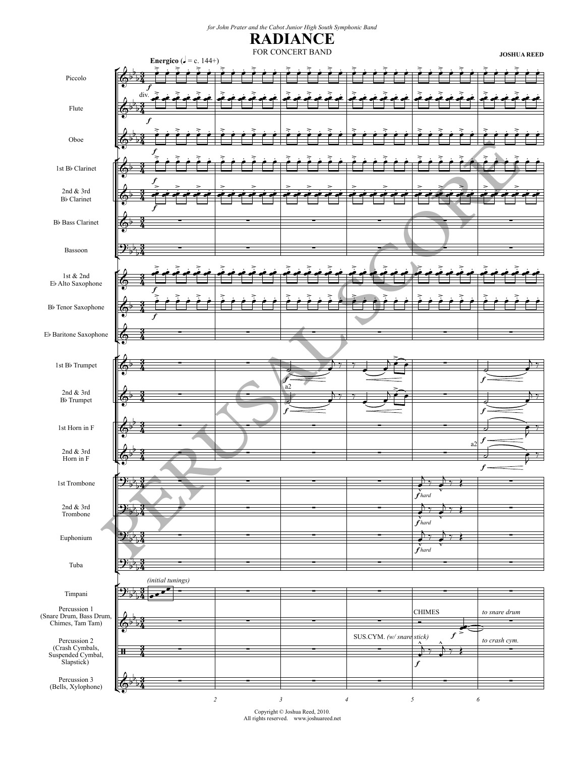|                                                                    | <b>RADIANCE</b>                                                                                          |                                                         |
|--------------------------------------------------------------------|----------------------------------------------------------------------------------------------------------|---------------------------------------------------------|
|                                                                    | FOR CONCERT BAND<br>Energico ( $d = c. 144+$ )<br>$\Rightarrow$ $\Rightarrow$ $\Rightarrow$ $\therefore$ | <b>JOSHUA REED</b>                                      |
| Piccolo                                                            | $\Phi^{\mathbb{P}}$                                                                                      |                                                         |
| Flute                                                              | <u>al al al al al al </u><br><u>A A A A A A</u><br>ଙ<br>$\vec{v}$                                        | <u>I I I I I I</u><br><u>A A A A A A </u>               |
| Oboe                                                               | ∞                                                                                                        |                                                         |
| 1st Bb Clarinet                                                    | ⊕<br>▼                                                                                                   |                                                         |
| 2nd & 3rd<br>Bb Clarinet                                           | $\geq$<br>$\geq$<br>$\geq$<br>$\geq$<br>$\bigcirc$<br>ہے نے نے نے نے ن<br><b>PP</b><br>م م م م م         | $\geq$<br><u> ar ar ar ar ar ar ar ar ar ar ar ar</u>   |
| Bb Bass Clarinet                                                   | $\mathbb{Q}^{\flat}$                                                                                     |                                                         |
| Bassoon                                                            | $9 + i$                                                                                                  |                                                         |
| 1st & 2nd<br>Eb Alto Saxophone                                     | $\geq$<br>7<br>₩                                                                                         | م م م                                                   |
| Bb Tenor Saxophone                                                 | $\Rightarrow$<br>$\ddot{ }$<br>$\Rightarrow$<br>$\Rightarrow$<br>₹<br>÷.                                 | $\geq$                                                  |
| Eb Baritone Saxophone                                              | ⊕<br>$\bullet$                                                                                           |                                                         |
| 1st Bb Trumpet                                                     | ∾<br>∙                                                                                                   |                                                         |
| 2nd & 3rd<br>B <sub>b</sub> Trumpet                                | a <sub>2</sub><br>$\overline{\mathbf{u}}$<br>∞                                                           |                                                         |
| 1st Horn in F                                                      | $\Phi^\flat$<br>$\overline{\bullet}$                                                                     | $\overline{\phantom{a}}$                                |
| 2nd & 3rd<br>Horn in F                                             | $\frac{1}{4}$<br>₩₹<br>≖                                                                                 | a2 <br>$\overline{\boldsymbol{v}}$<br>$\bullet$ $\cdot$ |
| 1st Trombone                                                       | $9 + 3$<br>$\rightarrow$<br>$f$ <i>hard</i>                                                              | $f \rightleftharpoons$<br>$\rightarrow$ ? $\rightarrow$ |
| 2nd & 3rd<br>Trombone                                              | $9 + \frac{3}{2}$<br>$\rightarrow$<br>$f$ <i>hard</i>                                                    | $\rightarrow$ $\rightarrow$ $\rightarrow$               |
| Euphonium                                                          | $9 - \frac{3}{4}$<br>$\rightarrow$<br>$f$ hard                                                           | $\rightarrow$                                           |
| Tuba                                                               | $9 - \frac{3}{2}$<br>(initial tunings)                                                                   | --                                                      |
| Timpani                                                            | $\cdot$ $\cdot$<br>$9,3$ .                                                                               |                                                         |
| Percussion 1<br>(Snare Drum, Bass Drum,<br>Chimes, Tam Tam)        | <b>CHIMES</b><br>$\frac{2}{9}$                                                                           | to snare drum<br>÷<br>$\blacktriangleright$             |
| Percussion 2<br>(Crash Cymbals,<br>Suspended Cymbal,<br>Slapstick) | SUS.CYM. (w/snare stick)<br>$\lambda$<br>$\rightarrow$ ?<br>, ⊥                                          | to crash cym.<br>-<br>$\rightarrow$ $\gamma$            |
| Percussion 3<br>(Bells, Xylophone)                                 | $\bigcirc$ $\overline{\bigcirc}$                                                                         |                                                         |
|                                                                    |                                                                                                          |                                                         |

Copyright © Joshua Reed, 2010.<br>All rights reserved. www.joshuareed.net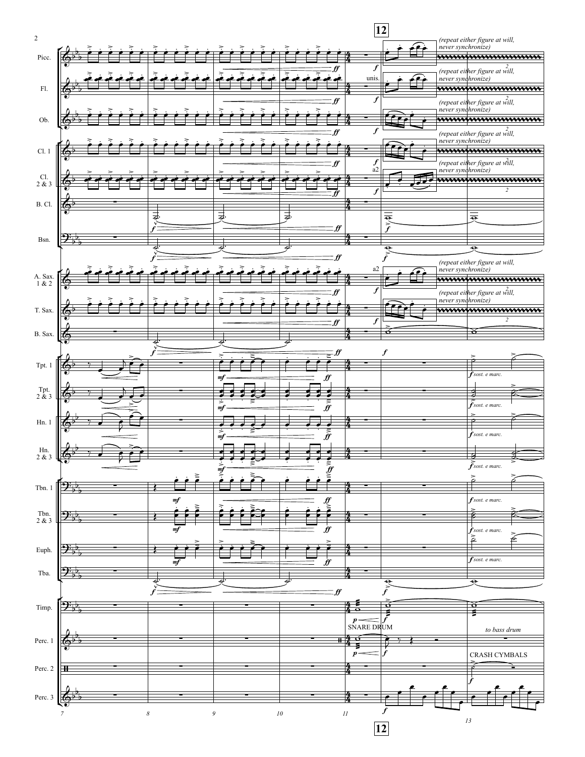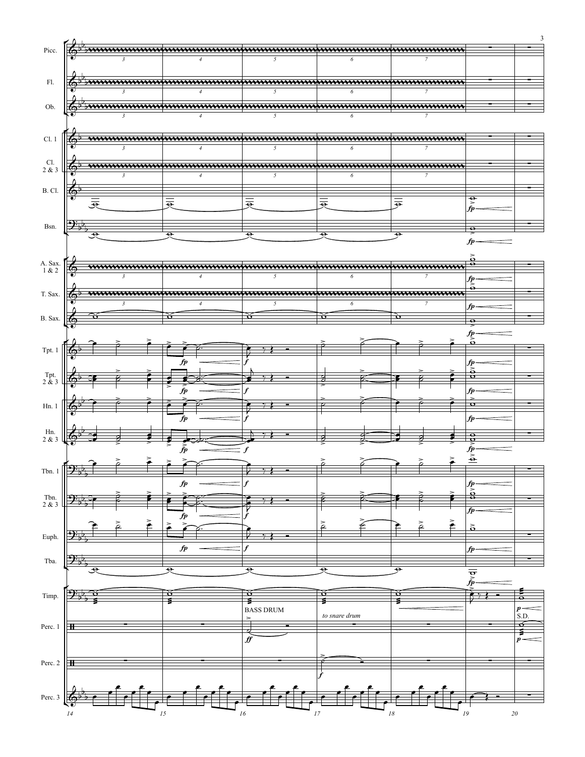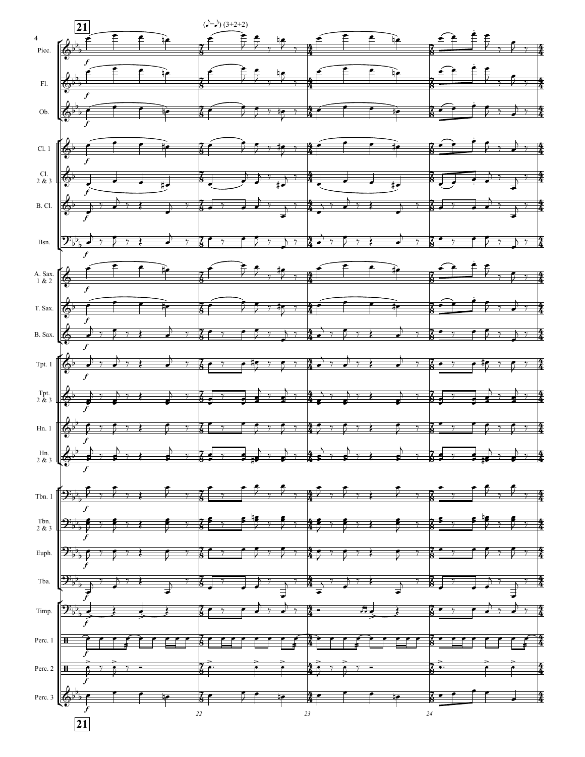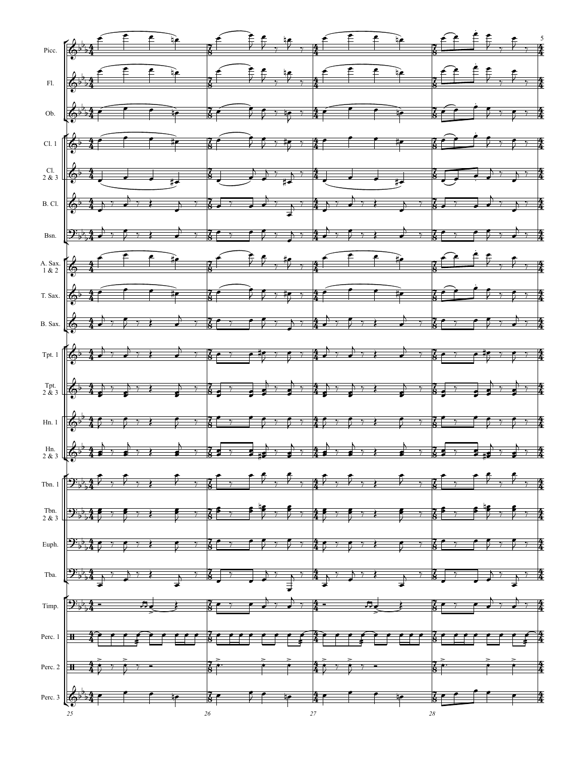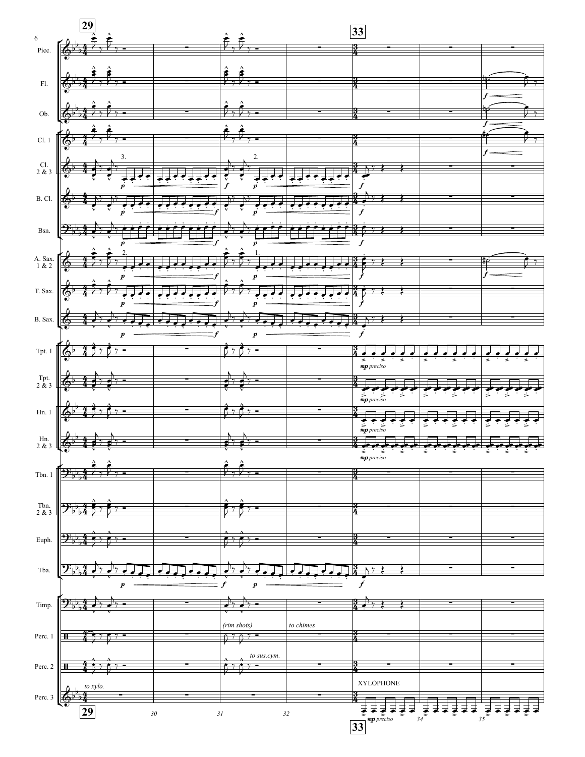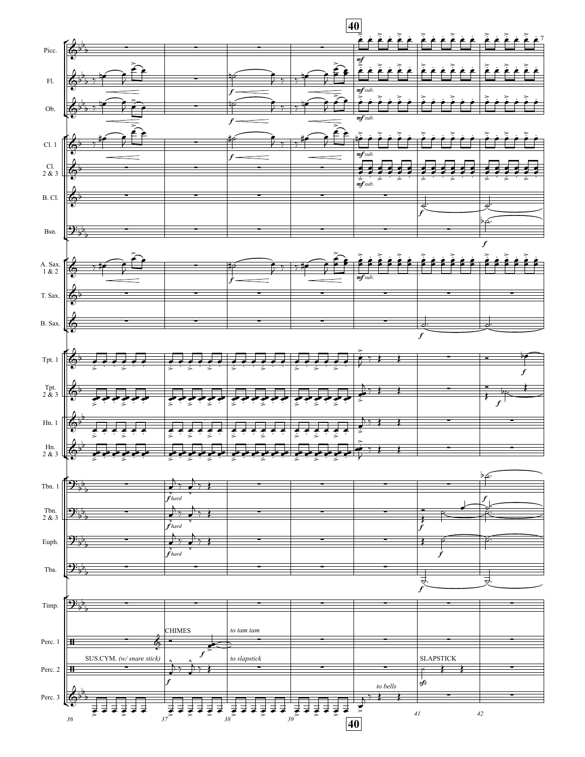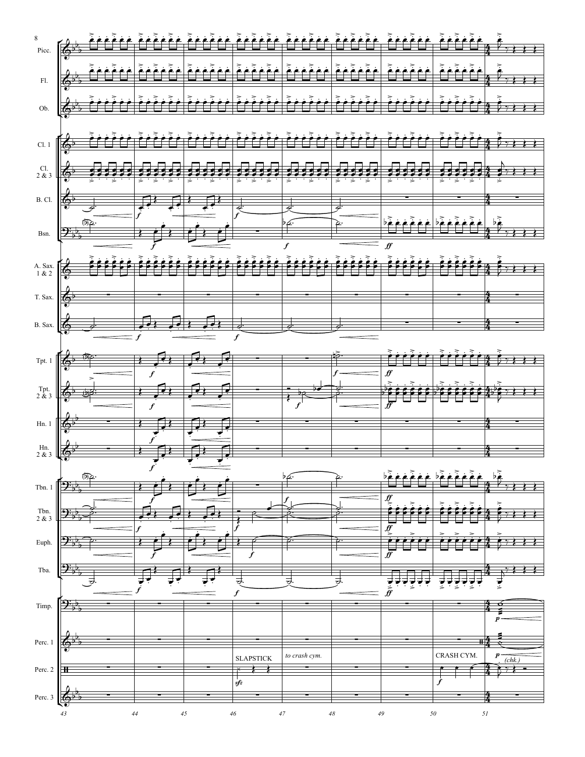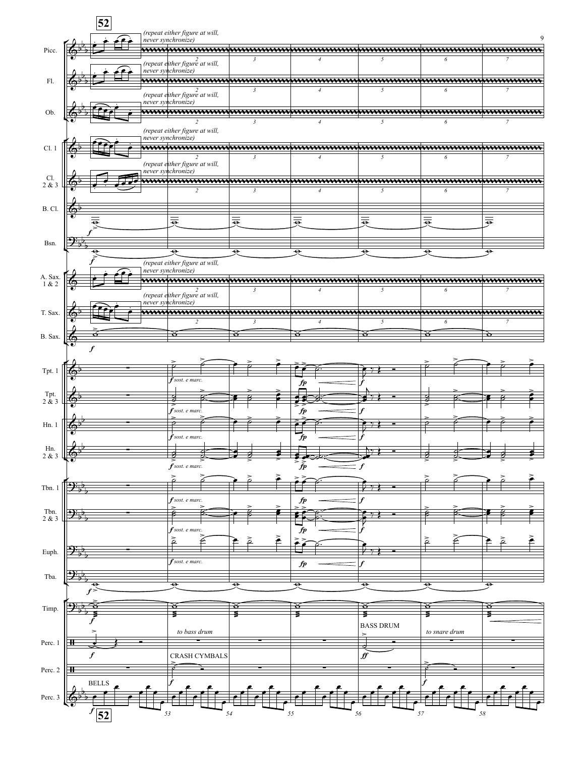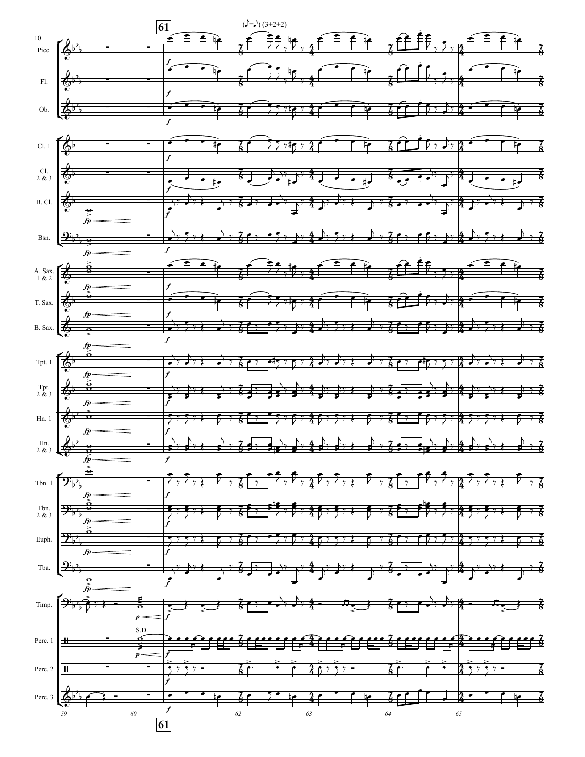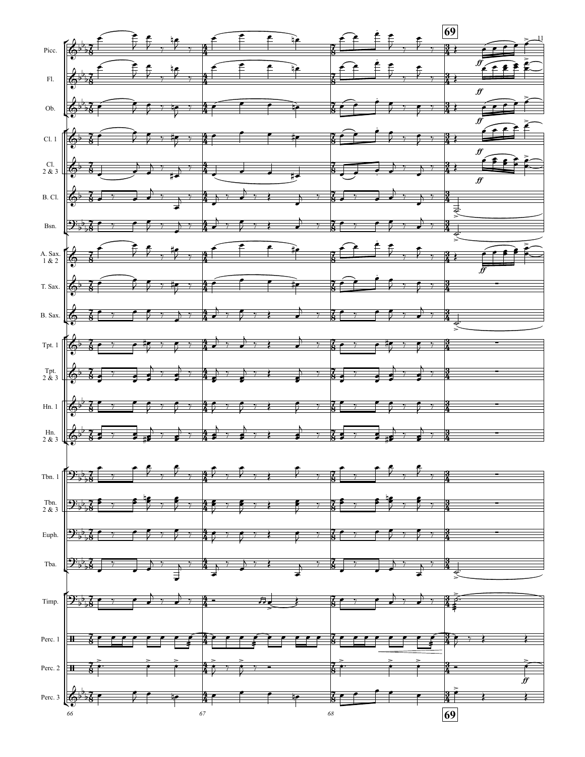